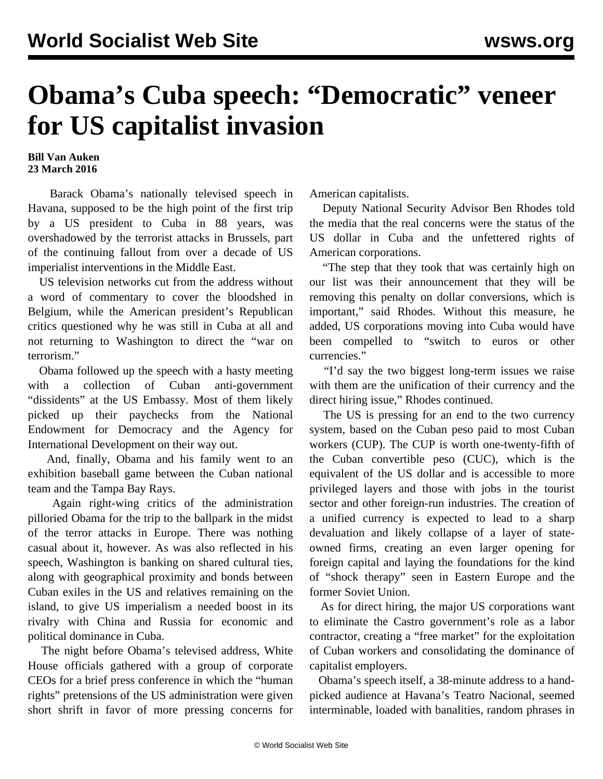## **Obama's Cuba speech: "Democratic" veneer for US capitalist invasion**

## **Bill Van Auken 23 March 2016**

 Barack Obama's nationally televised speech in Havana, supposed to be the high point of the first trip by a US president to Cuba in 88 years, was overshadowed by the terrorist attacks in Brussels, part of the continuing fallout from over a decade of US imperialist interventions in the Middle East.

 US television networks cut from the address without a word of commentary to cover the bloodshed in Belgium, while the American president's Republican critics questioned why he was still in Cuba at all and not returning to Washington to direct the "war on terrorism."

 Obama followed up the speech with a hasty meeting with a collection of Cuban anti-government "dissidents" at the US Embassy. Most of them likely picked up their paychecks from the National Endowment for Democracy and the Agency for International Development on their way out.

 And, finally, Obama and his family went to an exhibition baseball game between the Cuban national team and the Tampa Bay Rays.

 Again right-wing critics of the administration pilloried Obama for the trip to the ballpark in the midst of the terror attacks in Europe. There was nothing casual about it, however. As was also reflected in his speech, Washington is banking on shared cultural ties, along with geographical proximity and bonds between Cuban exiles in the US and relatives remaining on the island, to give US imperialism a needed boost in its rivalry with China and Russia for economic and political dominance in Cuba.

 The night before Obama's televised address, White House officials gathered with a group of corporate CEOs for a brief press conference in which the "human rights" pretensions of the US administration were given short shrift in favor of more pressing concerns for American capitalists.

 Deputy National Security Advisor Ben Rhodes told the media that the real concerns were the status of the US dollar in Cuba and the unfettered rights of American corporations.

 "The step that they took that was certainly high on our list was their announcement that they will be removing this penalty on dollar conversions, which is important," said Rhodes. Without this measure, he added, US corporations moving into Cuba would have been compelled to "switch to euros or other currencies."

 "I'd say the two biggest long-term issues we raise with them are the unification of their currency and the direct hiring issue," Rhodes continued.

 The US is pressing for an end to the two currency system, based on the Cuban peso paid to most Cuban workers (CUP). The CUP is worth one-twenty-fifth of the Cuban convertible peso (CUC), which is the equivalent of the US dollar and is accessible to more privileged layers and those with jobs in the tourist sector and other foreign-run industries. The creation of a unified currency is expected to lead to a sharp devaluation and likely collapse of a layer of stateowned firms, creating an even larger opening for foreign capital and laying the foundations for the kind of "shock therapy" seen in Eastern Europe and the former Soviet Union.

 As for direct hiring, the major US corporations want to eliminate the Castro government's role as a labor contractor, creating a "free market" for the exploitation of Cuban workers and consolidating the dominance of capitalist employers.

 Obama's speech itself, a 38-minute address to a handpicked audience at Havana's Teatro Nacional, seemed interminable, loaded with banalities, random phrases in